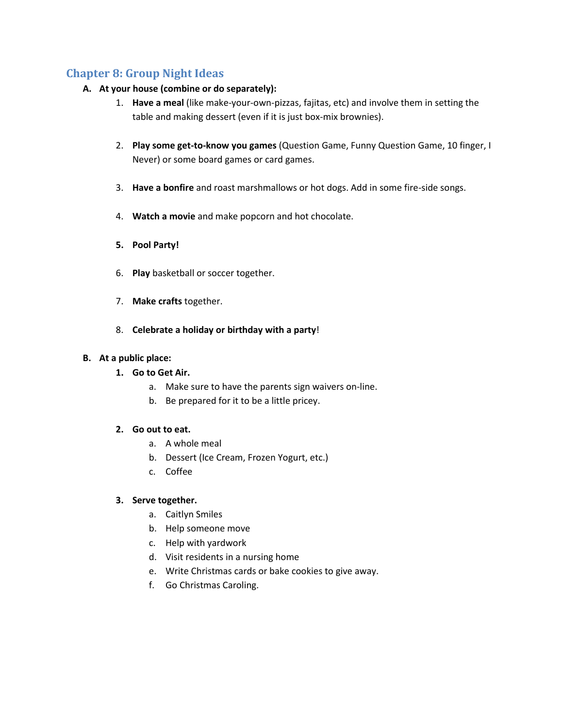# **Chapter 8: Group Night Ideas**

## **A. At your house (combine or do separately):**

- 1. **Have a meal** (like make-your-own-pizzas, fajitas, etc) and involve them in setting the table and making dessert (even if it is just box-mix brownies).
- 2. **Play some get-to-know you games** (Question Game, Funny Question Game, 10 finger, I Never) or some board games or card games.
- 3. **Have a bonfire** and roast marshmallows or hot dogs. Add in some fire-side songs.
- 4. **Watch a movie** and make popcorn and hot chocolate.
- **5. Pool Party!**
- 6. **Play** basketball or soccer together.
- 7. **Make crafts** together.
- 8. **Celebrate a holiday or birthday with a party**!

### **B. At a public place:**

- **1. Go to Get Air.**
	- a. Make sure to have the parents sign waivers on-line.
	- b. Be prepared for it to be a little pricey.

### **2. Go out to eat.**

- a. A whole meal
- b. Dessert (Ice Cream, Frozen Yogurt, etc.)
- c. Coffee

### **3. Serve together.**

- a. Caitlyn Smiles
- b. Help someone move
- c. Help with yardwork
- d. Visit residents in a nursing home
- e. Write Christmas cards or bake cookies to give away.
- f. Go Christmas Caroling.